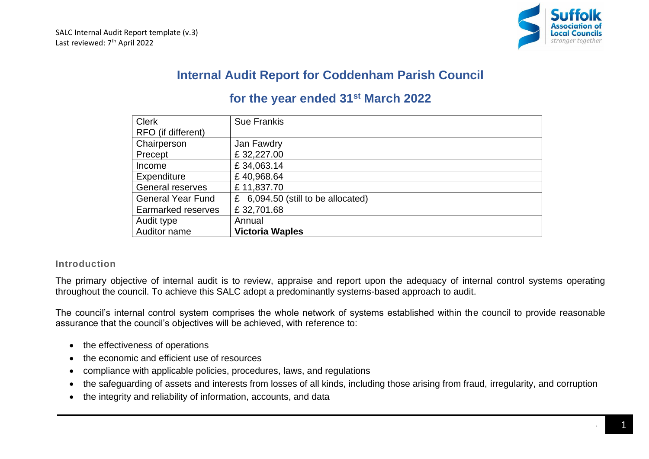

# **Internal Audit Report for Coddenham Parish Council**

# **for the year ended 31st March 2022**

| <b>Clerk</b>              | <b>Sue Frankis</b>                    |
|---------------------------|---------------------------------------|
| RFO (if different)        |                                       |
| Chairperson               | Jan Fawdry                            |
| Precept                   | £32,227.00                            |
| Income                    | £34,063.14                            |
| Expenditure               | £40,968.64                            |
| General reserves          | £11,837.70                            |
| <b>General Year Fund</b>  | 6,094.50 (still to be allocated)<br>£ |
| <b>Earmarked reserves</b> | £32,701.68                            |
| Audit type                | Annual                                |
| Auditor name              | <b>Victoria Waples</b>                |

# **Introduction**

The primary objective of internal audit is to review, appraise and report upon the adequacy of internal control systems operating throughout the council. To achieve this SALC adopt a predominantly systems-based approach to audit.

The council's internal control system comprises the whole network of systems established within the council to provide reasonable assurance that the council's objectives will be achieved, with reference to:

- the effectiveness of operations
- the economic and efficient use of resources
- compliance with applicable policies, procedures, laws, and regulations
- the safeguarding of assets and interests from losses of all kinds, including those arising from fraud, irregularity, and corruption
- the integrity and reliability of information, accounts, and data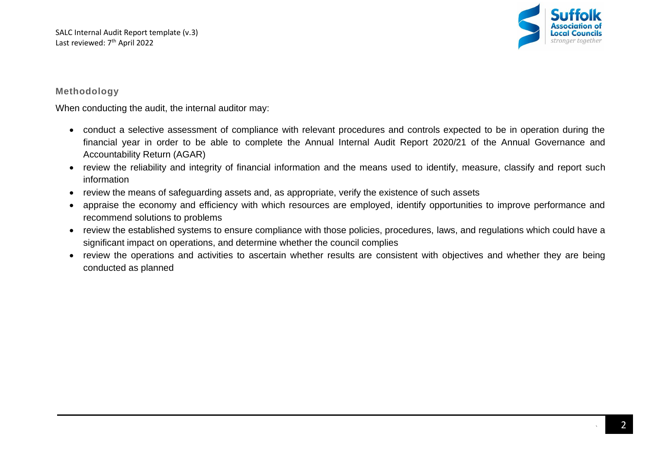

# **Methodology**

When conducting the audit, the internal auditor may:

- conduct a selective assessment of compliance with relevant procedures and controls expected to be in operation during the financial year in order to be able to complete the Annual Internal Audit Report 2020/21 of the Annual Governance and Accountability Return (AGAR)
- review the reliability and integrity of financial information and the means used to identify, measure, classify and report such information
- review the means of safeguarding assets and, as appropriate, verify the existence of such assets
- appraise the economy and efficiency with which resources are employed, identify opportunities to improve performance and recommend solutions to problems
- review the established systems to ensure compliance with those policies, procedures, laws, and regulations which could have a significant impact on operations, and determine whether the council complies
- review the operations and activities to ascertain whether results are consistent with objectives and whether they are being conducted as planned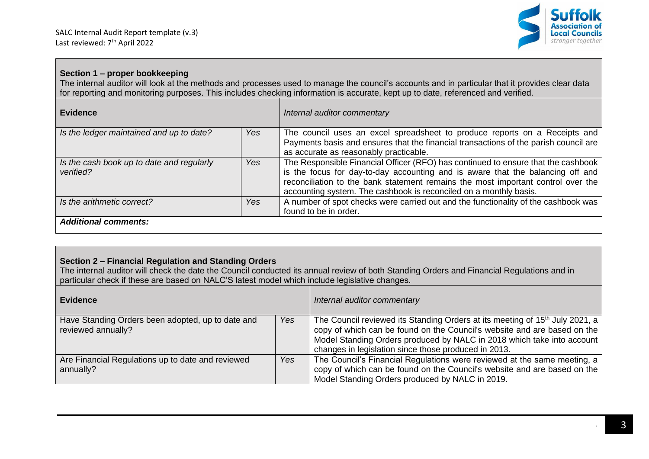

### **Section 1 – proper bookkeeping**

The internal auditor will look at the methods and processes used to manage the council's accounts and in particular that it provides clear data for reporting and monitoring purposes. This includes checking information is accurate, kept up to date, referenced and verified.

| <b>Evidence</b>                                        |     | Internal auditor commentary                                                                                                                                                                                                                                                                                                  |
|--------------------------------------------------------|-----|------------------------------------------------------------------------------------------------------------------------------------------------------------------------------------------------------------------------------------------------------------------------------------------------------------------------------|
| Is the ledger maintained and up to date?               | Yes | The council uses an excel spreadsheet to produce reports on a Receipts and<br>Payments basis and ensures that the financial transactions of the parish council are<br>as accurate as reasonably practicable.                                                                                                                 |
| Is the cash book up to date and regularly<br>verified? | Yes | The Responsible Financial Officer (RFO) has continued to ensure that the cashbook<br>is the focus for day-to-day accounting and is aware that the balancing off and<br>reconciliation to the bank statement remains the most important control over the<br>accounting system. The cashbook is reconciled on a monthly basis. |
| Is the arithmetic correct?                             | Yes | A number of spot checks were carried out and the functionality of the cashbook was<br>found to be in order.                                                                                                                                                                                                                  |
| <b>Additional comments:</b>                            |     |                                                                                                                                                                                                                                                                                                                              |

# **Section 2 – Financial Regulation and Standing Orders**

The internal auditor will check the date the Council conducted its annual review of both Standing Orders and Financial Regulations and in particular check if these are based on NALC'S latest model which include legislative changes.

| Evidence                                                                |     | Internal auditor commentary                                                                                                                                                                                                                                                                            |
|-------------------------------------------------------------------------|-----|--------------------------------------------------------------------------------------------------------------------------------------------------------------------------------------------------------------------------------------------------------------------------------------------------------|
| Have Standing Orders been adopted, up to date and<br>reviewed annually? | Yes | The Council reviewed its Standing Orders at its meeting of 15 <sup>th</sup> July 2021, a<br>copy of which can be found on the Council's website and are based on the<br>Model Standing Orders produced by NALC in 2018 which take into account<br>changes in legislation since those produced in 2013. |
| Are Financial Regulations up to date and reviewed<br>annually?          | Yes | The Council's Financial Regulations were reviewed at the same meeting, a<br>copy of which can be found on the Council's website and are based on the<br>Model Standing Orders produced by NALC in 2019.                                                                                                |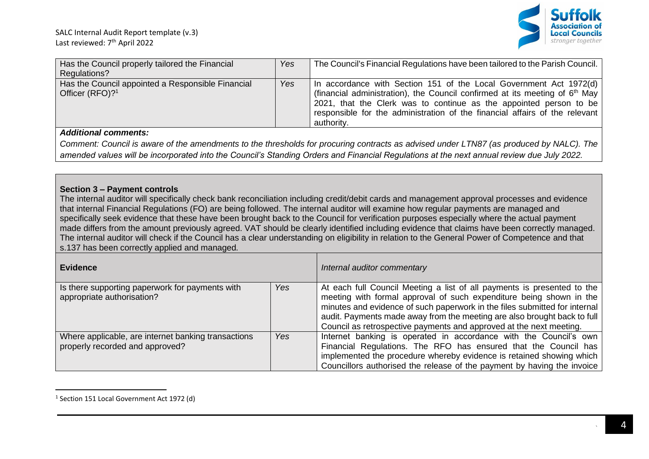

| Has the Council properly tailored the Financial<br>Regulations?                  | Yes | The Council's Financial Regulations have been tailored to the Parish Council.                                                                                                                                                                                                                                          |
|----------------------------------------------------------------------------------|-----|------------------------------------------------------------------------------------------------------------------------------------------------------------------------------------------------------------------------------------------------------------------------------------------------------------------------|
| Has the Council appointed a Responsible Financial<br>Officer (RFO)? <sup>1</sup> | Yes | In accordance with Section 151 of the Local Government Act 1972(d)<br>(financial administration), the Council confirmed at its meeting of $6th$ May<br>2021, that the Clerk was to continue as the appointed person to be<br>responsible for the administration of the financial affairs of the relevant<br>authority. |
| Additional comments.                                                             |     |                                                                                                                                                                                                                                                                                                                        |

*Comment: Council is aware of the amendments to the thresholds for procuring contracts as advised under LTN87 (as produced by NALC). The amended values will be incorporated into the Council's Standing Orders and Financial Regulations at the next annual review due July 2022.*

# **Section 3 – Payment controls**

The internal auditor will specifically check bank reconciliation including credit/debit cards and management approval processes and evidence that internal Financial Regulations (FO) are being followed. The internal auditor will examine how regular payments are managed and specifically seek evidence that these have been brought back to the Council for verification purposes especially where the actual payment made differs from the amount previously agreed. VAT should be clearly identified including evidence that claims have been correctly managed. The internal auditor will check if the Council has a clear understanding on eligibility in relation to the General Power of Competence and that s.137 has been correctly applied and managed*.*

| <b>Evidence</b>                                                                        |     | Internal auditor commentary                                                                                                                                                                                                                                                                                                                                                     |
|----------------------------------------------------------------------------------------|-----|---------------------------------------------------------------------------------------------------------------------------------------------------------------------------------------------------------------------------------------------------------------------------------------------------------------------------------------------------------------------------------|
| Is there supporting paperwork for payments with<br>appropriate authorisation?          | Yes | At each full Council Meeting a list of all payments is presented to the<br>meeting with formal approval of such expenditure being shown in the<br>minutes and evidence of such paperwork in the files submitted for internal<br>audit. Payments made away from the meeting are also brought back to full<br>Council as retrospective payments and approved at the next meeting. |
| Where applicable, are internet banking transactions<br>properly recorded and approved? | Yes | Internet banking is operated in accordance with the Council's own<br>Financial Regulations. The RFO has ensured that the Council has<br>implemented the procedure whereby evidence is retained showing which<br>Councillors authorised the release of the payment by having the invoice                                                                                         |

<sup>&</sup>lt;sup>1</sup> Section 151 Local Government Act 1972 (d)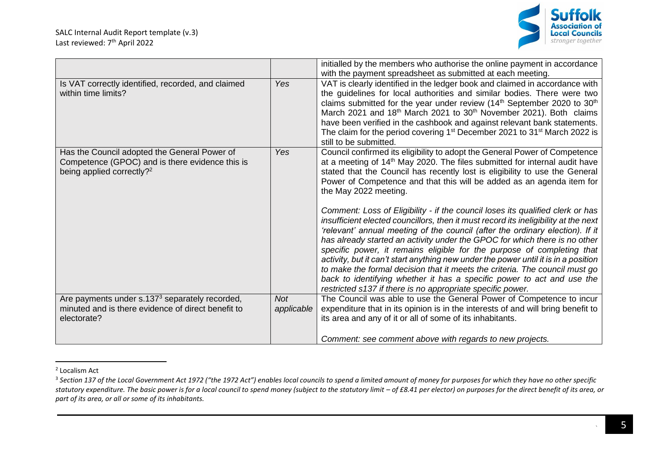### SALC Internal Audit Report template (v.3) Last reviewed: 7<sup>th</sup> April 2022



|                                                                                                                                          |                          | initialled by the members who authorise the online payment in accordance<br>with the payment spreadsheet as submitted at each meeting.                                                                                                                                                                                                                                                                                                                                                                                                                                                                                                                                                                                       |
|------------------------------------------------------------------------------------------------------------------------------------------|--------------------------|------------------------------------------------------------------------------------------------------------------------------------------------------------------------------------------------------------------------------------------------------------------------------------------------------------------------------------------------------------------------------------------------------------------------------------------------------------------------------------------------------------------------------------------------------------------------------------------------------------------------------------------------------------------------------------------------------------------------------|
| Is VAT correctly identified, recorded, and claimed<br>within time limits?                                                                | Yes                      | VAT is clearly identified in the ledger book and claimed in accordance with<br>the guidelines for local authorities and similar bodies. There were two<br>claims submitted for the year under review (14 <sup>th</sup> September 2020 to 30 <sup>th</sup><br>March 2021 and 18 <sup>th</sup> March 2021 to 30 <sup>th</sup> November 2021). Both claims<br>have been verified in the cashbook and against relevant bank statements.<br>The claim for the period covering 1 <sup>st</sup> December 2021 to 31 <sup>st</sup> March 2022 is<br>still to be submitted.                                                                                                                                                           |
| Has the Council adopted the General Power of<br>Competence (GPOC) and is there evidence this is<br>being applied correctly? <sup>2</sup> | Yes                      | Council confirmed its eligibility to adopt the General Power of Competence<br>at a meeting of 14 <sup>th</sup> May 2020. The files submitted for internal audit have<br>stated that the Council has recently lost is eligibility to use the General<br>Power of Competence and that this will be added as an agenda item for<br>the May 2022 meeting.                                                                                                                                                                                                                                                                                                                                                                        |
|                                                                                                                                          |                          | Comment: Loss of Eligibility - if the council loses its qualified clerk or has<br>insufficient elected councillors, then it must record its ineligibility at the next<br>'relevant' annual meeting of the council (after the ordinary election). If it<br>has already started an activity under the GPOC for which there is no other<br>specific power, it remains eligible for the purpose of completing that<br>activity, but it can't start anything new under the power until it is in a position<br>to make the formal decision that it meets the criteria. The council must go<br>back to identifying whether it has a specific power to act and use the<br>restricted s137 if there is no appropriate specific power. |
| Are payments under s.137 <sup>3</sup> separately recorded,<br>minuted and is there evidence of direct benefit to                         | <b>Not</b><br>applicable | The Council was able to use the General Power of Competence to incur<br>expenditure that in its opinion is in the interests of and will bring benefit to                                                                                                                                                                                                                                                                                                                                                                                                                                                                                                                                                                     |
| electorate?                                                                                                                              |                          | its area and any of it or all of some of its inhabitants.                                                                                                                                                                                                                                                                                                                                                                                                                                                                                                                                                                                                                                                                    |
|                                                                                                                                          |                          | Comment: see comment above with regards to new projects.                                                                                                                                                                                                                                                                                                                                                                                                                                                                                                                                                                                                                                                                     |

<sup>2</sup> Localism Act

<sup>&</sup>lt;sup>3</sup> Section 137 of the Local Government Act 1972 ("the 1972 Act") enables local councils to spend a limited amount of money for purposes for which they have no other specific statutory expenditure. The basic power is for a local council to spend money (subject to the statutory limit – of £8.41 per elector) on purposes for the direct benefit of its area, or *part of its area, or all or some of its inhabitants.*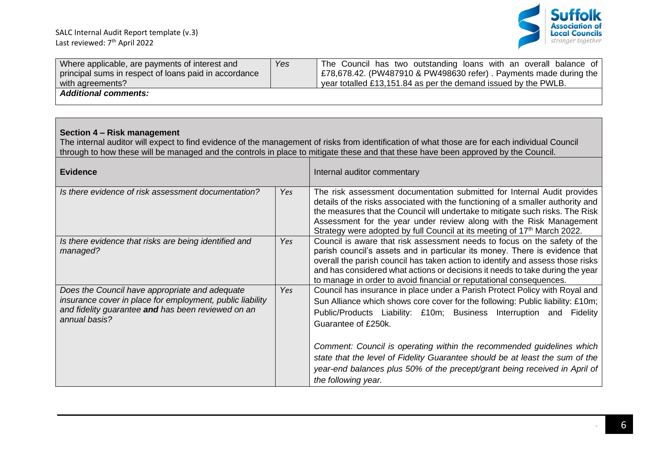

| Where applicable, are payments of interest and<br>principal sums in respect of loans paid in accordance<br>with agreements?                                                        | Yes | The Council has two outstanding loans with an overall balance of<br>£78,678.42. (PW487910 & PW498630 refer). Payments made during the<br>year totalled £13,151.84 as per the demand issued by the PWLB.                                                                                                                                                                                                    |
|------------------------------------------------------------------------------------------------------------------------------------------------------------------------------------|-----|------------------------------------------------------------------------------------------------------------------------------------------------------------------------------------------------------------------------------------------------------------------------------------------------------------------------------------------------------------------------------------------------------------|
| <b>Additional comments:</b>                                                                                                                                                        |     |                                                                                                                                                                                                                                                                                                                                                                                                            |
|                                                                                                                                                                                    |     |                                                                                                                                                                                                                                                                                                                                                                                                            |
| Section 4 - Risk management                                                                                                                                                        |     | The internal auditor will expect to find evidence of the management of risks from identification of what those are for each individual Council<br>through to how these will be managed and the controls in place to mitigate these and that these have been approved by the Council.                                                                                                                       |
| <b>Evidence</b>                                                                                                                                                                    |     | Internal auditor commentary                                                                                                                                                                                                                                                                                                                                                                                |
| Is there evidence of risk assessment documentation?                                                                                                                                | Yes | The risk assessment documentation submitted for Internal Audit provides<br>details of the risks associated with the functioning of a smaller authority and<br>the measures that the Council will undertake to mitigate such risks. The Risk<br>Assessment for the year under review along with the Risk Management<br>Strategy were adopted by full Council at its meeting of 17 <sup>th</sup> March 2022. |
| Is there evidence that risks are being identified and<br>managed?                                                                                                                  | Yes | Council is aware that risk assessment needs to focus on the safety of the<br>parish council's assets and in particular its money. There is evidence that<br>overall the parish council has taken action to identify and assess those risks<br>and has considered what actions or decisions it needs to take during the year<br>to manage in order to avoid financial or reputational consequences.         |
| Does the Council have appropriate and adequate<br>insurance cover in place for employment, public liability<br>and fidelity guarantee and has been reviewed on an<br>annual basis? | Yes | Council has insurance in place under a Parish Protect Policy with Royal and<br>Sun Alliance which shows core cover for the following: Public liability: £10m;<br>Public/Products Liability: £10m; Business Interruption and Fidelity<br>Guarantee of £250k.                                                                                                                                                |
|                                                                                                                                                                                    |     | Comment: Council is operating within the recommended guidelines which<br>state that the level of Fidelity Guarantee should be at least the sum of the<br>year-end balances plus 50% of the precept/grant being received in April of<br>the following year.                                                                                                                                                 |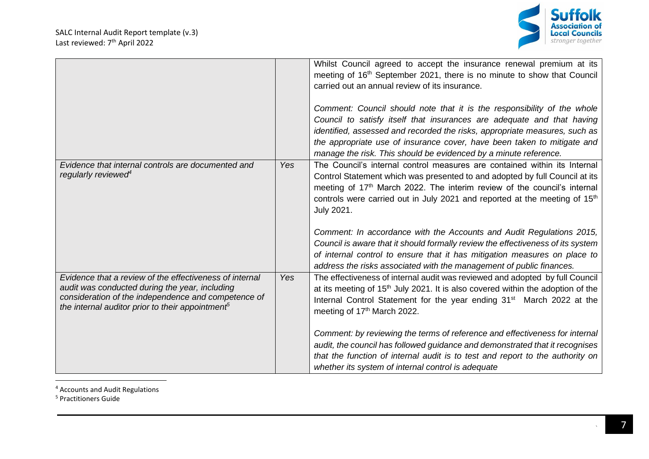

|                                                                                                                                                                                                                                  |            | Whilst Council agreed to accept the insurance renewal premium at its<br>meeting of 16 <sup>th</sup> September 2021, there is no minute to show that Council<br>carried out an annual review of its insurance.<br>Comment: Council should note that it is the responsibility of the whole<br>Council to satisfy itself that insurances are adequate and that having<br>identified, assessed and recorded the risks, appropriate measures, such as<br>the appropriate use of insurance cover, have been taken to mitigate and<br>manage the risk. This should be evidenced by a minute reference.                                                              |
|----------------------------------------------------------------------------------------------------------------------------------------------------------------------------------------------------------------------------------|------------|--------------------------------------------------------------------------------------------------------------------------------------------------------------------------------------------------------------------------------------------------------------------------------------------------------------------------------------------------------------------------------------------------------------------------------------------------------------------------------------------------------------------------------------------------------------------------------------------------------------------------------------------------------------|
| Evidence that internal controls are documented and<br>regularly reviewed <sup>4</sup>                                                                                                                                            | Yes        | The Council's internal control measures are contained within its Internal<br>Control Statement which was presented to and adopted by full Council at its<br>meeting of 17th March 2022. The interim review of the council's internal<br>controls were carried out in July 2021 and reported at the meeting of 15 <sup>th</sup><br>July 2021.<br>Comment: In accordance with the Accounts and Audit Regulations 2015,<br>Council is aware that it should formally review the effectiveness of its system<br>of internal control to ensure that it has mitigation measures on place to<br>address the risks associated with the management of public finances. |
| Evidence that a review of the effectiveness of internal<br>audit was conducted during the year, including<br>consideration of the independence and competence of<br>the internal auditor prior to their appointment <sup>5</sup> | <b>Yes</b> | The effectiveness of internal audit was reviewed and adopted by full Council<br>at its meeting of 15 <sup>th</sup> July 2021. It is also covered within the adoption of the<br>Internal Control Statement for the year ending 31 <sup>st</sup> March 2022 at the<br>meeting of 17th March 2022.<br>Comment: by reviewing the terms of reference and effectiveness for internal<br>audit, the council has followed guidance and demonstrated that it recognises<br>that the function of internal audit is to test and report to the authority on<br>whether its system of internal control is adequate                                                        |

<sup>4</sup> Accounts and Audit Regulations

<sup>5</sup> Practitioners Guide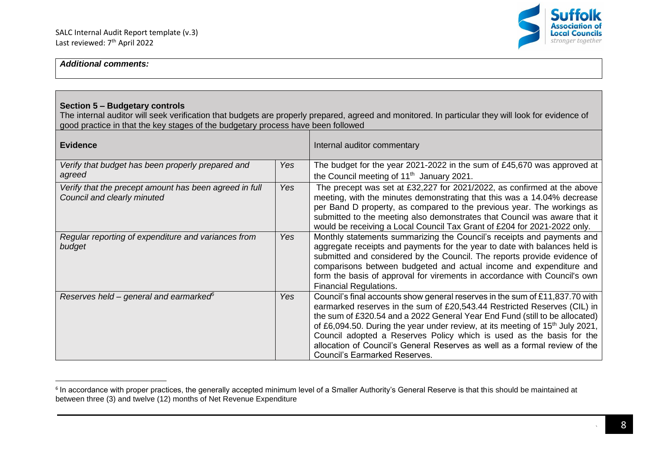

#### **Section 5 – Budgetary controls**

The internal auditor will seek verification that budgets are properly prepared, agreed and monitored. In particular they will look for evidence of good practice in that the key stages of the budgetary process have been followed

| <b>Evidence</b>                                                                       |     | Internal auditor commentary                                                                                                                                                                                                                                                                                                                                                                                                                                                                                                        |
|---------------------------------------------------------------------------------------|-----|------------------------------------------------------------------------------------------------------------------------------------------------------------------------------------------------------------------------------------------------------------------------------------------------------------------------------------------------------------------------------------------------------------------------------------------------------------------------------------------------------------------------------------|
| Verify that budget has been properly prepared and<br>agreed                           | Yes | The budget for the year 2021-2022 in the sum of £45,670 was approved at<br>the Council meeting of 11 <sup>th</sup> January 2021.                                                                                                                                                                                                                                                                                                                                                                                                   |
| Verify that the precept amount has been agreed in full<br>Council and clearly minuted | Yes | The precept was set at £32,227 for 2021/2022, as confirmed at the above<br>meeting, with the minutes demonstrating that this was a 14.04% decrease<br>per Band D property, as compared to the previous year. The workings as<br>submitted to the meeting also demonstrates that Council was aware that it<br>would be receiving a Local Council Tax Grant of £204 for 2021-2022 only.                                                                                                                                              |
| Regular reporting of expenditure and variances from<br>budget                         | Yes | Monthly statements summarizing the Council's receipts and payments and<br>aggregate receipts and payments for the year to date with balances held is<br>submitted and considered by the Council. The reports provide evidence of<br>comparisons between budgeted and actual income and expenditure and<br>form the basis of approval for virements in accordance with Council's own<br><b>Financial Regulations.</b>                                                                                                               |
| Reserves held – general and earmarked $\epsilon$                                      | Yes | Council's final accounts show general reserves in the sum of £11,837.70 with<br>earmarked reserves in the sum of £20,543.44 Restricted Reserves (CIL) in<br>the sum of £320.54 and a 2022 General Year End Fund (still to be allocated)<br>of £6,094.50. During the year under review, at its meeting of 15 <sup>th</sup> July 2021,<br>Council adopted a Reserves Policy which is used as the basis for the<br>allocation of Council's General Reserves as well as a formal review of the<br><b>Council's Earmarked Reserves.</b> |

 $^{\rm 6}$  In accordance with proper practices, the generally accepted minimum level of a Smaller Authority's General Reserve is that this should be maintained at between three (3) and twelve (12) months of Net Revenue Expenditure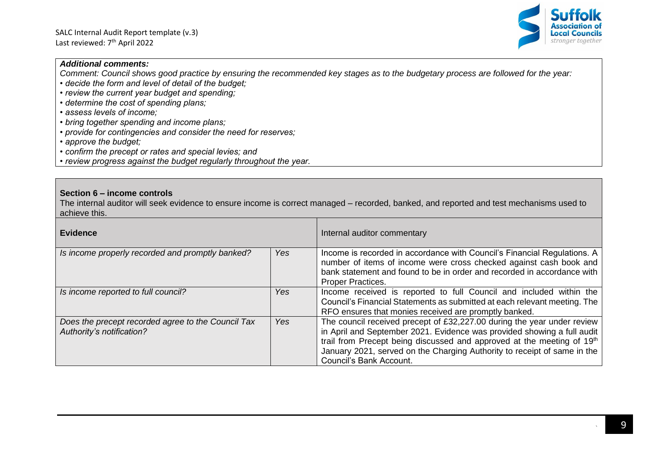

*Comment: Council shows good practice by ensuring the recommended key stages as to the budgetary process are followed for the year:*

- *decide the form and level of detail of the budget;*
- *review the current year budget and spending;*
- *determine the cost of spending plans;*
- *assess levels of income;*
- *bring together spending and income plans;*
- *provide for contingencies and consider the need for reserves;*
- *approve the budget;*
- *confirm the precept or rates and special levies; and*

*• review progress against the budget regularly throughout the year.*

#### **Section 6 – income controls**

The internal auditor will seek evidence to ensure income is correct managed – recorded, banked, and reported and test mechanisms used to achieve this.

| <b>Evidence</b>                                                                 |     | Internal auditor commentary                                                                                                                                                                                                                                                                                                         |
|---------------------------------------------------------------------------------|-----|-------------------------------------------------------------------------------------------------------------------------------------------------------------------------------------------------------------------------------------------------------------------------------------------------------------------------------------|
| Is income properly recorded and promptly banked?                                | Yes | Income is recorded in accordance with Council's Financial Regulations. A<br>number of items of income were cross checked against cash book and<br>bank statement and found to be in order and recorded in accordance with<br><b>Proper Practices.</b>                                                                               |
| Is income reported to full council?                                             | Yes | Income received is reported to full Council and included within the<br>Council's Financial Statements as submitted at each relevant meeting. The<br>RFO ensures that monies received are promptly banked.                                                                                                                           |
| Does the precept recorded agree to the Council Tax<br>Authority's notification? | Yes | The council received precept of £32,227.00 during the year under review<br>in April and September 2021. Evidence was provided showing a full audit<br>trail from Precept being discussed and approved at the meeting of 19th<br>January 2021, served on the Charging Authority to receipt of same in the<br>Council's Bank Account. |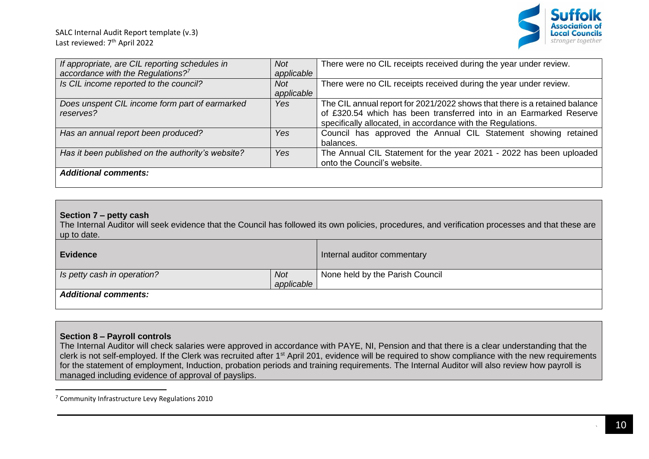

| If appropriate, are CIL reporting schedules in<br>accordance with the Regulations? $7^7$ | Not<br>applicable        | There were no CIL receipts received during the year under review.                                                                                                                                               |
|------------------------------------------------------------------------------------------|--------------------------|-----------------------------------------------------------------------------------------------------------------------------------------------------------------------------------------------------------------|
| Is CIL income reported to the council?                                                   | <b>Not</b><br>applicable | There were no CIL receipts received during the year under review.                                                                                                                                               |
| Does unspent CIL income form part of earmarked<br>reserves?                              | Yes                      | The CIL annual report for 2021/2022 shows that there is a retained balance<br>of £320.54 which has been transferred into in an Earmarked Reserve<br>specifically allocated, in accordance with the Regulations. |
| Has an annual report been produced?                                                      | Yes                      | Council has approved the Annual CIL Statement showing retained<br>balances.                                                                                                                                     |
| Has it been published on the authority's website?                                        | Yes                      | The Annual CIL Statement for the year 2021 - 2022 has been uploaded<br>onto the Council's website.                                                                                                              |
| <b>Additional comments:</b>                                                              |                          |                                                                                                                                                                                                                 |

#### **Section 7 – petty cash**

The Internal Auditor will seek evidence that the Council has followed its own policies, procedures, and verification processes and that these are up to date.

| <b>Evidence</b>             |            | Internal auditor commentary     |
|-----------------------------|------------|---------------------------------|
| Is petty cash in operation? | Not        | None held by the Parish Council |
|                             | applicable |                                 |
| <b>Additional comments:</b> |            |                                 |

#### **Section 8 – Payroll controls**

The Internal Auditor will check salaries were approved in accordance with PAYE, NI, Pension and that there is a clear understanding that the clerk is not self-employed. If the Clerk was recruited after 1st April 201, evidence will be required to show compliance with the new requirements for the statement of employment, Induction, probation periods and training requirements. The Internal Auditor will also review how payroll is managed including evidence of approval of payslips.

<sup>7</sup> Community Infrastructure Levy Regulations 2010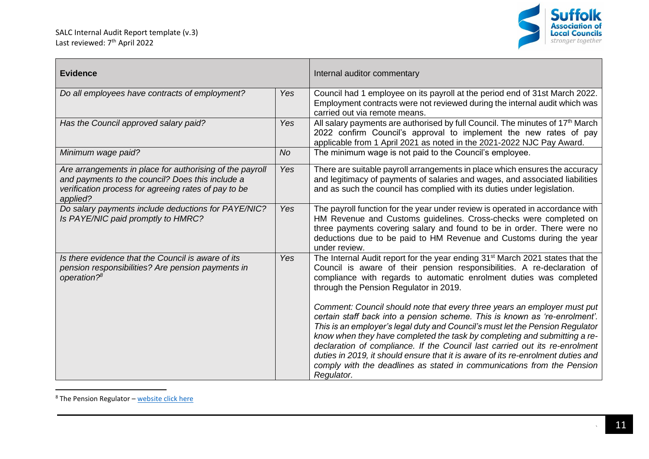

| <b>Evidence</b>                                                                                                                                                                  |           | Internal auditor commentary                                                                                                                                                                                                                                                                                                                                                                                                                                                                                                                                                     |
|----------------------------------------------------------------------------------------------------------------------------------------------------------------------------------|-----------|---------------------------------------------------------------------------------------------------------------------------------------------------------------------------------------------------------------------------------------------------------------------------------------------------------------------------------------------------------------------------------------------------------------------------------------------------------------------------------------------------------------------------------------------------------------------------------|
| Do all employees have contracts of employment?                                                                                                                                   | Yes       | Council had 1 employee on its payroll at the period end of 31st March 2022.<br>Employment contracts were not reviewed during the internal audit which was<br>carried out via remote means.                                                                                                                                                                                                                                                                                                                                                                                      |
| Has the Council approved salary paid?                                                                                                                                            | Yes       | All salary payments are authorised by full Council. The minutes of 17 <sup>th</sup> March<br>2022 confirm Council's approval to implement the new rates of pay<br>applicable from 1 April 2021 as noted in the 2021-2022 NJC Pay Award.                                                                                                                                                                                                                                                                                                                                         |
| Minimum wage paid?                                                                                                                                                               | <b>No</b> | The minimum wage is not paid to the Council's employee.                                                                                                                                                                                                                                                                                                                                                                                                                                                                                                                         |
| Are arrangements in place for authorising of the payroll<br>and payments to the council? Does this include a<br>verification process for agreeing rates of pay to be<br>applied? | Yes       | There are suitable payroll arrangements in place which ensures the accuracy<br>and legitimacy of payments of salaries and wages, and associated liabilities<br>and as such the council has complied with its duties under legislation.                                                                                                                                                                                                                                                                                                                                          |
| Do salary payments include deductions for PAYE/NIC?<br>Is PAYE/NIC paid promptly to HMRC?                                                                                        | Yes       | The payroll function for the year under review is operated in accordance with<br>HM Revenue and Customs guidelines. Cross-checks were completed on<br>three payments covering salary and found to be in order. There were no<br>deductions due to be paid to HM Revenue and Customs during the year<br>under review.                                                                                                                                                                                                                                                            |
| Is there evidence that the Council is aware of its<br>pension responsibilities? Are pension payments in<br>operation? <sup>8</sup>                                               | Yes       | The Internal Audit report for the year ending 31 <sup>st</sup> March 2021 states that the<br>Council is aware of their pension responsibilities. A re-declaration of<br>compliance with regards to automatic enrolment duties was completed<br>through the Pension Regulator in 2019.                                                                                                                                                                                                                                                                                           |
|                                                                                                                                                                                  |           | Comment: Council should note that every three years an employer must put<br>certain staff back into a pension scheme. This is known as 're-enrolment'.<br>This is an employer's legal duty and Council's must let the Pension Regulator<br>know when they have completed the task by completing and submitting a re-<br>declaration of compliance. If the Council last carried out its re-enrolment<br>duties in 2019, it should ensure that it is aware of its re-enrolment duties and<br>comply with the deadlines as stated in communications from the Pension<br>Regulator. |

<sup>8</sup> The Pension Regulator – [website click here](https://www.thepensionsregulator.gov.uk/en/employers)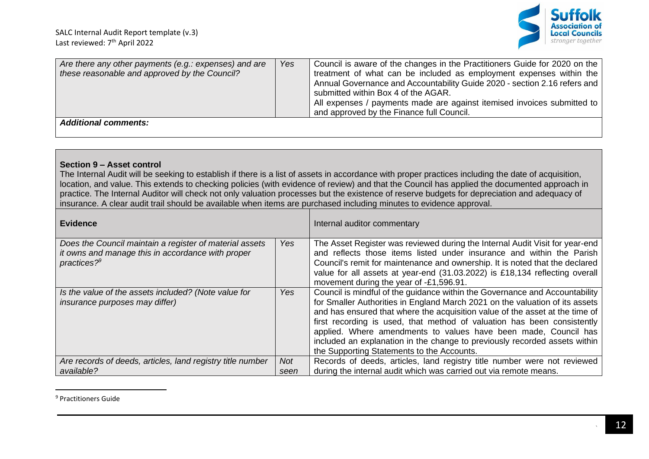

| Are there any other payments (e.g.: expenses) and are<br>these reasonable and approved by the Council? | Yes | Council is aware of the changes in the Practitioners Guide for 2020 on the<br>treatment of what can be included as employment expenses within the<br>Annual Governance and Accountability Guide 2020 - section 2.16 refers and<br>submitted within Box 4 of the AGAR.<br>All expenses / payments made are against itemised invoices submitted to |
|--------------------------------------------------------------------------------------------------------|-----|--------------------------------------------------------------------------------------------------------------------------------------------------------------------------------------------------------------------------------------------------------------------------------------------------------------------------------------------------|
|                                                                                                        |     | and approved by the Finance full Council.                                                                                                                                                                                                                                                                                                        |
| <b>Additional comments:</b>                                                                            |     |                                                                                                                                                                                                                                                                                                                                                  |

#### **Section 9 – Asset control**

The Internal Audit will be seeking to establish if there is a list of assets in accordance with proper practices including the date of acquisition, location, and value. This extends to checking policies (with evidence of review) and that the Council has applied the documented approach in practice. The Internal Auditor will check not only valuation processes but the existence of reserve budgets for depreciation and adequacy of insurance. A clear audit trail should be available when items are purchased including minutes to evidence approval.

| <b>Evidence</b>                                                                                                                  |             | Internal auditor commentary                                                                                                                                                                                                                                                                                                                                                                                                                                                                                           |
|----------------------------------------------------------------------------------------------------------------------------------|-------------|-----------------------------------------------------------------------------------------------------------------------------------------------------------------------------------------------------------------------------------------------------------------------------------------------------------------------------------------------------------------------------------------------------------------------------------------------------------------------------------------------------------------------|
| Does the Council maintain a register of material assets<br>it owns and manage this in accordance with proper<br>practices? $9^9$ | Yes         | The Asset Register was reviewed during the Internal Audit Visit for year-end<br>and reflects those items listed under insurance and within the Parish<br>Council's remit for maintenance and ownership. It is noted that the declared<br>value for all assets at year-end (31.03.2022) is £18,134 reflecting overall<br>movement during the year of -£1,596.91.                                                                                                                                                       |
| Is the value of the assets included? (Note value for<br><i>insurance purposes may differ)</i>                                    | Yes         | Council is mindful of the quidance within the Governance and Accountability<br>for Smaller Authorities in England March 2021 on the valuation of its assets<br>and has ensured that where the acquisition value of the asset at the time of<br>first recording is used, that method of valuation has been consistently<br>applied. Where amendments to values have been made, Council has<br>included an explanation in the change to previously recorded assets within<br>the Supporting Statements to the Accounts. |
| Are records of deeds, articles, land registry title number<br>available?                                                         | Not<br>seen | Records of deeds, articles, land registry title number were not reviewed<br>during the internal audit which was carried out via remote means.                                                                                                                                                                                                                                                                                                                                                                         |
|                                                                                                                                  |             |                                                                                                                                                                                                                                                                                                                                                                                                                                                                                                                       |

<sup>9</sup> Practitioners Guide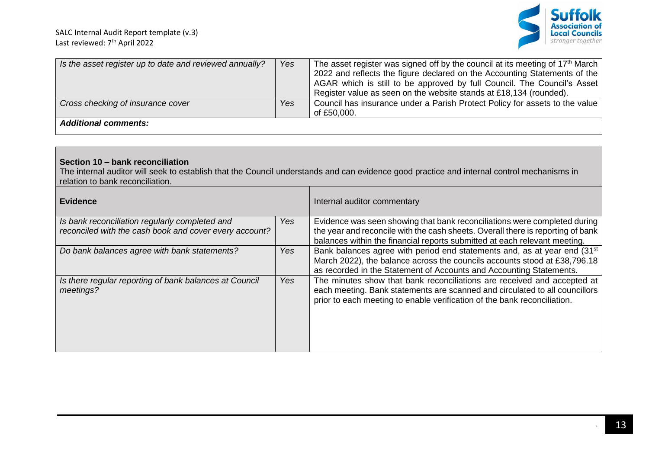

| Is the asset register up to date and reviewed annually? | Yes | The asset register was signed off by the council at its meeting of 17 <sup>th</sup> March<br>2022 and reflects the figure declared on the Accounting Statements of the<br>AGAR which is still to be approved by full Council. The Council's Asset<br>Register value as seen on the website stands at £18,134 (rounded). |
|---------------------------------------------------------|-----|-------------------------------------------------------------------------------------------------------------------------------------------------------------------------------------------------------------------------------------------------------------------------------------------------------------------------|
| Cross checking of insurance cover                       | Yes | Council has insurance under a Parish Protect Policy for assets to the value<br>of £50,000.                                                                                                                                                                                                                              |
| <b>Additional comments:</b>                             |     |                                                                                                                                                                                                                                                                                                                         |

# **Section 10 – bank reconciliation**

The internal auditor will seek to establish that the Council understands and can evidence good practice and internal control mechanisms in relation to bank reconciliation.

| <b>Evidence</b>                                                                                          |     | Internal auditor commentary                                                                                                                                                                                                                |
|----------------------------------------------------------------------------------------------------------|-----|--------------------------------------------------------------------------------------------------------------------------------------------------------------------------------------------------------------------------------------------|
| Is bank reconciliation regularly completed and<br>reconciled with the cash book and cover every account? | Yes | Evidence was seen showing that bank reconciliations were completed during<br>the year and reconcile with the cash sheets. Overall there is reporting of bank<br>balances within the financial reports submitted at each relevant meeting.  |
| Do bank balances agree with bank statements?                                                             | Yes | Bank balances agree with period end statements and, as at year end (31 <sup>st</sup> )<br>March 2022), the balance across the councils accounts stood at £38,796.18<br>as recorded in the Statement of Accounts and Accounting Statements. |
| Is there regular reporting of bank balances at Council<br>meetings?                                      | Yes | The minutes show that bank reconciliations are received and accepted at<br>each meeting. Bank statements are scanned and circulated to all councillors<br>prior to each meeting to enable verification of the bank reconciliation.         |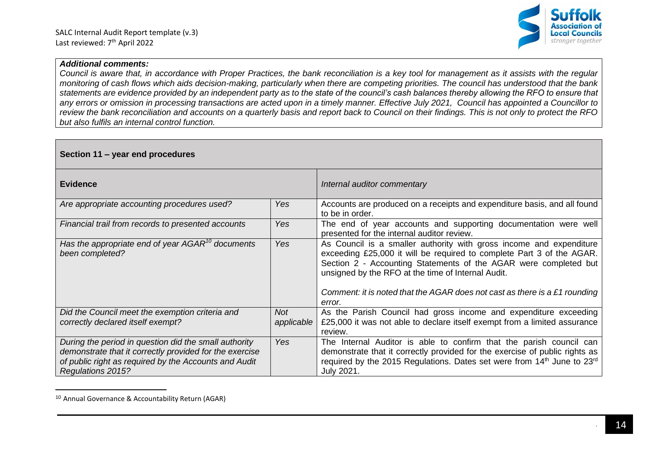

*Council is aware that, in accordance with Proper Practices, the bank reconciliation is a key tool for management as it assists with the regular monitoring of cash flows which aids decision-making, particularly when there are competing priorities. The council has understood that the bank statements are evidence provided by an independent party as to the state of the council's cash balances thereby allowing the RFO to ensure that any errors or omission in processing transactions are acted upon in a timely manner. Effective July 2021, Council has appointed a Councillor to review the bank reconciliation and accounts on a quarterly basis and report back to Council on their findings. This is not only to protect the RFO but also fulfils an internal control function.*

| Section 11 – year end procedures                                                                                                                                                                      |            |                                                                                                                                                                                                                                                                                                                                                                |  |
|-------------------------------------------------------------------------------------------------------------------------------------------------------------------------------------------------------|------------|----------------------------------------------------------------------------------------------------------------------------------------------------------------------------------------------------------------------------------------------------------------------------------------------------------------------------------------------------------------|--|
| <b>Evidence</b>                                                                                                                                                                                       |            | Internal auditor commentary                                                                                                                                                                                                                                                                                                                                    |  |
| Are appropriate accounting procedures used?                                                                                                                                                           | Yes        | Accounts are produced on a receipts and expenditure basis, and all found<br>to be in order.                                                                                                                                                                                                                                                                    |  |
| Financial trail from records to presented accounts                                                                                                                                                    | Yes        | The end of year accounts and supporting documentation were well<br>presented for the internal auditor review.                                                                                                                                                                                                                                                  |  |
| Has the appropriate end of year $AGAR^{10}$ documents<br>been completed?                                                                                                                              | <b>Yes</b> | As Council is a smaller authority with gross income and expenditure<br>exceeding £25,000 it will be required to complete Part 3 of the AGAR.<br>Section 2 - Accounting Statements of the AGAR were completed but<br>unsigned by the RFO at the time of Internal Audit.<br>Comment: it is noted that the AGAR does not cast as there is a £1 rounding<br>error. |  |
| Did the Council meet the exemption criteria and                                                                                                                                                       | Not        | As the Parish Council had gross income and expenditure exceeding                                                                                                                                                                                                                                                                                               |  |
| correctly declared itself exempt?                                                                                                                                                                     | applicable | £25,000 it was not able to declare itself exempt from a limited assurance<br>review.                                                                                                                                                                                                                                                                           |  |
| During the period in question did the small authority<br>demonstrate that it correctly provided for the exercise<br>of public right as required by the Accounts and Audit<br><b>Regulations 2015?</b> | <b>Yes</b> | The Internal Auditor is able to confirm that the parish council can<br>demonstrate that it correctly provided for the exercise of public rights as<br>required by the 2015 Regulations. Dates set were from 14th June to 23rd<br>July 2021.                                                                                                                    |  |

<sup>10</sup> Annual Governance & Accountability Return (AGAR)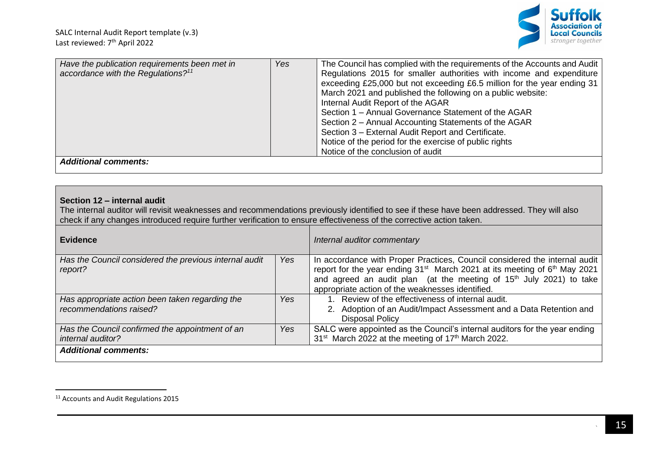

# **Section 12 – internal audit**

The internal auditor will revisit weaknesses and recommendations previously identified to see if these have been addressed. They will also check if any changes introduced require further verification to ensure effectiveness of the corrective action taken.

| <b>Evidence</b>                                                            |            | Internal auditor commentary                                                                                                                                                                                                                                                                                            |
|----------------------------------------------------------------------------|------------|------------------------------------------------------------------------------------------------------------------------------------------------------------------------------------------------------------------------------------------------------------------------------------------------------------------------|
| Has the Council considered the previous internal audit<br>report?          | <b>Yes</b> | In accordance with Proper Practices, Council considered the internal audit<br>report for the year ending 31 <sup>st</sup> March 2021 at its meeting of 6 <sup>th</sup> May 2021<br>and agreed an audit plan (at the meeting of 15 <sup>th</sup> July 2021) to take<br>appropriate action of the weaknesses identified. |
| Has appropriate action been taken regarding the<br>recommendations raised? | Yes:       | 1. Review of the effectiveness of internal audit.<br>2. Adoption of an Audit/Impact Assessment and a Data Retention and<br><b>Disposal Policy</b>                                                                                                                                                                      |
| Has the Council confirmed the appointment of an<br>internal auditor?       | Yes        | SALC were appointed as the Council's internal auditors for the year ending<br>31 <sup>st</sup> March 2022 at the meeting of 17 <sup>th</sup> March 2022.                                                                                                                                                               |
| <b>Additional comments:</b>                                                |            |                                                                                                                                                                                                                                                                                                                        |

<sup>&</sup>lt;sup>11</sup> Accounts and Audit Regulations 2015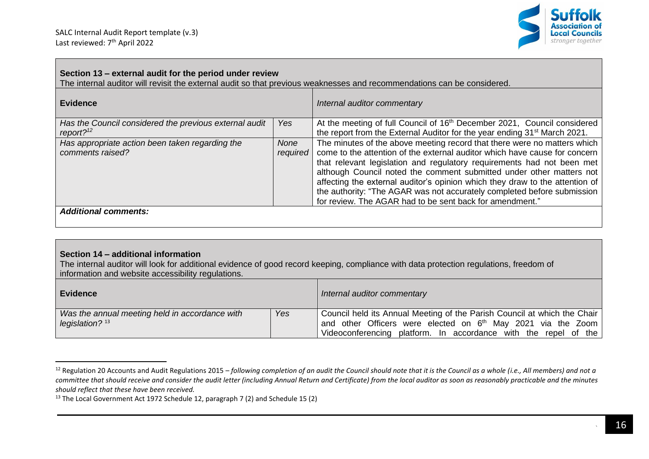

#### **Section 13 – external audit for the period under review** The internal auditor will revisit the external audit so that previous weaknesses and recommendations can be considered. **Evidence** *Internal auditor commentary Has the Council considered the previous external audit report?*<sup>12</sup> *Yes* At the meeting of full Council of 16<sup>th</sup> December 2021, Council considered the report from the External Auditor for the year ending 31<sup>st</sup> March 2021. *Has appropriate action been taken regarding the comments raised? None required* The minutes of the above meeting record that there were no matters which come to the attention of the external auditor which have cause for concern that relevant legislation and regulatory requirements had not been met although Council noted the comment submitted under other matters not affecting the external auditor's opinion which they draw to the attention of the authority: "The AGAR was not accurately completed before submission for review. The AGAR had to be sent back for amendment." *Additional comments:*

#### **Section 14 – additional information**

The internal auditor will look for additional evidence of good record keeping, compliance with data protection regulations, freedom of information and website accessibility regulations.

| Evidence                                                            |     | Internal auditor commentary                                                                                                                                                                                      |
|---------------------------------------------------------------------|-----|------------------------------------------------------------------------------------------------------------------------------------------------------------------------------------------------------------------|
| Was the annual meeting held in accordance with<br>legislation? $13$ | Yes | Council held its Annual Meeting of the Parish Council at which the Chair<br>and other Officers were elected on $6th$ May 2021 via the Zoom<br>platform. In accordance with the repel of the<br>Videoconferencing |

<sup>12</sup> Regulation 20 Accounts and Audit Regulations 2015 – *following completion of an audit the Council should note that it is the Council as a whole (i.e., All members) and not a committee that should receive and consider the audit letter (including Annual Return and Certificate) from the local auditor as soon as reasonably practicable and the minutes should reflect that these have been received.*

<sup>&</sup>lt;sup>13</sup> The Local Government Act 1972 Schedule 12, paragraph 7 (2) and Schedule 15 (2)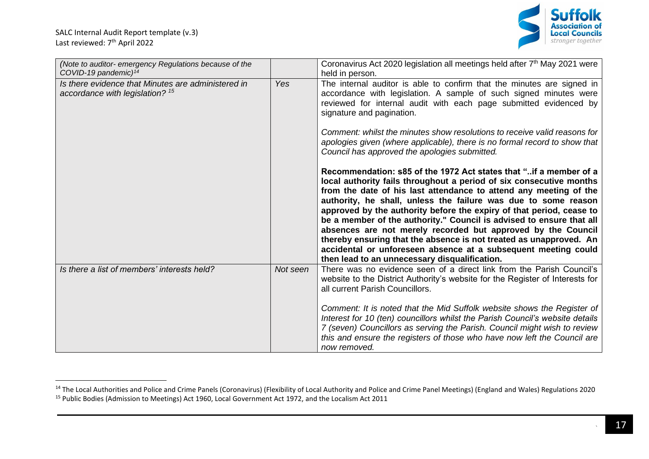SALC Internal Audit Report template (v.3) Last reviewed: 7<sup>th</sup> April 2022



| (Note to auditor- emergency Regulations because of the<br>COVID-19 pandemic) <sup>14</sup>       |          | Coronavirus Act 2020 legislation all meetings held after 7 <sup>th</sup> May 2021 were<br>held in person.                                                                                                                                                                                                                                                                                                                                                                                                                                                                                                                                                                                |
|--------------------------------------------------------------------------------------------------|----------|------------------------------------------------------------------------------------------------------------------------------------------------------------------------------------------------------------------------------------------------------------------------------------------------------------------------------------------------------------------------------------------------------------------------------------------------------------------------------------------------------------------------------------------------------------------------------------------------------------------------------------------------------------------------------------------|
| Is there evidence that Minutes are administered in<br>accordance with legislation? <sup>15</sup> | Yes      | The internal auditor is able to confirm that the minutes are signed in<br>accordance with legislation. A sample of such signed minutes were<br>reviewed for internal audit with each page submitted evidenced by<br>signature and pagination.                                                                                                                                                                                                                                                                                                                                                                                                                                            |
|                                                                                                  |          | Comment: whilst the minutes show resolutions to receive valid reasons for<br>apologies given (where applicable), there is no formal record to show that<br>Council has approved the apologies submitted.                                                                                                                                                                                                                                                                                                                                                                                                                                                                                 |
|                                                                                                  |          | Recommendation: s85 of the 1972 Act states that "if a member of a<br>local authority fails throughout a period of six consecutive months<br>from the date of his last attendance to attend any meeting of the<br>authority, he shall, unless the failure was due to some reason<br>approved by the authority before the expiry of that period, cease to<br>be a member of the authority." Council is advised to ensure that all<br>absences are not merely recorded but approved by the Council<br>thereby ensuring that the absence is not treated as unapproved. An<br>accidental or unforeseen absence at a subsequent meeting could<br>then lead to an unnecessary disqualification. |
| Is there a list of members' interests held?                                                      | Not seen | There was no evidence seen of a direct link from the Parish Council's<br>website to the District Authority's website for the Register of Interests for<br>all current Parish Councillors.                                                                                                                                                                                                                                                                                                                                                                                                                                                                                                |
|                                                                                                  |          | Comment: It is noted that the Mid Suffolk website shows the Register of<br>Interest for 10 (ten) councillors whilst the Parish Council's website details<br>7 (seven) Councillors as serving the Parish. Council might wish to review<br>this and ensure the registers of those who have now left the Council are<br>now removed.                                                                                                                                                                                                                                                                                                                                                        |

<sup>&</sup>lt;sup>14</sup> The Local Authorities and Police and Crime Panels (Coronavirus) (Flexibility of Local Authority and Police and Crime Panel Meetings) (England and Wales) Regulations 2020 <sup>15</sup> Public Bodies (Admission to Meetings) Act 1960, Local Government Act 1972, and the Localism Act 2011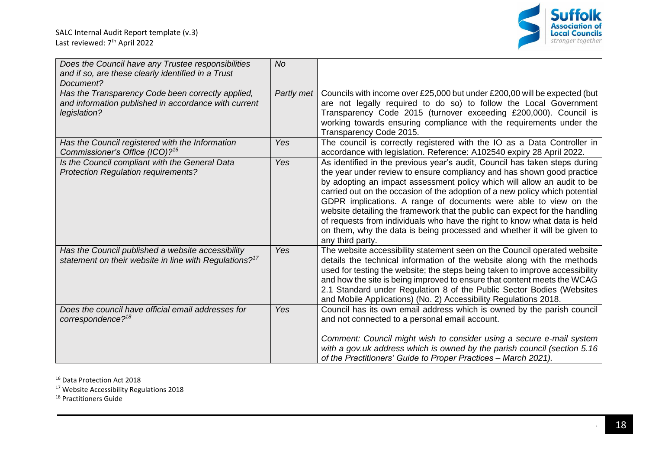

| Does the Council have any Trustee responsibilities<br>and if so, are these clearly identified in a Trust<br>Document?     | <b>No</b>  |                                                                                                                                                                                                                                                                                                                                                                                                                                                                                                                                                                                                                                                |
|---------------------------------------------------------------------------------------------------------------------------|------------|------------------------------------------------------------------------------------------------------------------------------------------------------------------------------------------------------------------------------------------------------------------------------------------------------------------------------------------------------------------------------------------------------------------------------------------------------------------------------------------------------------------------------------------------------------------------------------------------------------------------------------------------|
| Has the Transparency Code been correctly applied,<br>and information published in accordance with current<br>legislation? | Partly met | Councils with income over £25,000 but under £200,00 will be expected (but<br>are not legally required to do so) to follow the Local Government<br>Transparency Code 2015 (turnover exceeding £200,000). Council is<br>working towards ensuring compliance with the requirements under the<br>Transparency Code 2015.                                                                                                                                                                                                                                                                                                                           |
| Has the Council registered with the Information<br>Commissioner's Office (ICO)? <sup>16</sup>                             | Yes        | The council is correctly registered with the IO as a Data Controller in<br>accordance with legislation. Reference: A102540 expiry 28 April 2022.                                                                                                                                                                                                                                                                                                                                                                                                                                                                                               |
| Is the Council compliant with the General Data<br><b>Protection Regulation requirements?</b>                              | Yes        | As identified in the previous year's audit, Council has taken steps during<br>the year under review to ensure compliancy and has shown good practice<br>by adopting an impact assessment policy which will allow an audit to be<br>carried out on the occasion of the adoption of a new policy which potential<br>GDPR implications. A range of documents were able to view on the<br>website detailing the framework that the public can expect for the handling<br>of requests from individuals who have the right to know what data is held<br>on them, why the data is being processed and whether it will be given to<br>any third party. |
| Has the Council published a website accessibility<br>statement on their website in line with Regulations? <sup>17</sup>   | Yes        | The website accessibility statement seen on the Council operated website<br>details the technical information of the website along with the methods<br>used for testing the website; the steps being taken to improve accessibility<br>and how the site is being improved to ensure that content meets the WCAG<br>2.1 Standard under Regulation 8 of the Public Sector Bodies (Websites<br>and Mobile Applications) (No. 2) Accessibility Regulations 2018.                                                                                                                                                                                   |
| Does the council have official email addresses for<br>correspondence? <sup>18</sup>                                       | Yes        | Council has its own email address which is owned by the parish council<br>and not connected to a personal email account.<br>Comment: Council might wish to consider using a secure e-mail system<br>with a gov.uk address which is owned by the parish council (section 5.16<br>of the Practitioners' Guide to Proper Practices - March 2021).                                                                                                                                                                                                                                                                                                 |

<sup>16</sup> Data Protection Act 2018

<sup>17</sup> Website Accessibility Regulations 2018

<sup>18</sup> Practitioners Guide